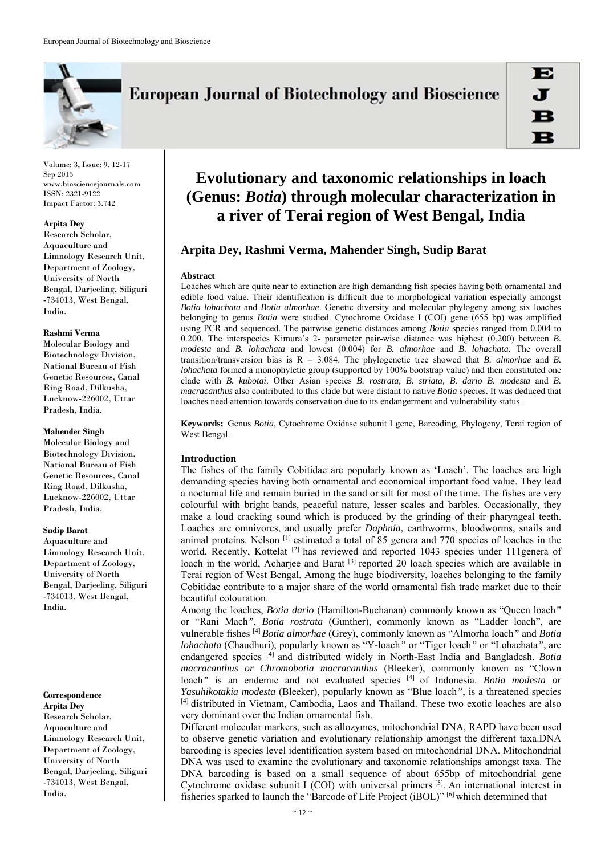

# **European Journal of Biotechnology and Bioscience**

Volume: 3, Issue: 9, 12-17 Sep 2015 www.biosciencejournals.com ISSN: 2321-9122 Impact Factor: 3.742

#### **Arpita Dey**

Research Scholar, Aquaculture and Limnology Research Unit, Department of Zoology, University of North Bengal, Darjeeling, Siliguri -734013, West Bengal, India.

#### **Rashmi Verma**

Molecular Biology and Biotechnology Division, National Bureau of Fish Genetic Resources, Canal Ring Road, Dilkusha, Lucknow-226002, Uttar Pradesh, India.

#### **Mahender Singh**

Molecular Biology and Biotechnology Division, National Bureau of Fish Genetic Resources, Canal Ring Road, Dilkusha, Lucknow-226002, Uttar Pradesh, India.

#### **Sudip Barat**

Aquaculture and Limnology Research Unit, Department of Zoology, University of North Bengal, Darjeeling, Siliguri -734013, West Bengal, India.

# **Correspondence**

**Arpita Dey**  Research Scholar, Aquaculture and Limnology Research Unit, Department of Zoology, University of North Bengal, Darjeeling, Siliguri -734013, West Bengal, India.

# **Evolutionary and taxonomic relationships in loach (Genus:** *Botia***) through molecular characterization in a river of Terai region of West Bengal, India**

# **Arpita Dey, Rashmi Verma, Mahender Singh, Sudip Barat**

#### **Abstract**

Loaches which are quite near to extinction are high demanding fish species having both ornamental and edible food value. Their identification is difficult due to morphological variation especially amongst *Botia lohachata* and *Botia almorhae*. Genetic diversity and molecular phylogeny among six loaches belonging to genus *Botia* were studied. Cytochrome Oxidase I (COI) gene (655 bp) was amplified using PCR and sequenced. The pairwise genetic distances among *Botia* species ranged from 0.004 to 0.200. The interspecies Kimura's 2- parameter pair-wise distance was highest (0.200) between *B. modesta* and *B. lohachata* and lowest (0.004) for *B. almorhae* and *B. lohachata.* The overall transition/transversion bias is  $R = 3.084$ . The phylogenetic tree showed that *B*. *almorhae* and *B*. *lohachata* formed a monophyletic group (supported by 100% bootstrap value) and then constituted one clade with *B. kubotai*. Other Asian species *B. rostrata, B. striata, B. dario B. modesta* and *B. macracanthus* also contributed to this clade but were distant to native *Botia* species. It was deduced that loaches need attention towards conservation due to its endangerment and vulnerability status.

**Keywords:** Genus *Botia*, Cytochrome Oxidase subunit I gene, Barcoding, Phylogeny, Terai region of West Bengal.

# **Introduction**

The fishes of the family Cobitidae are popularly known as 'Loach'. The loaches are high demanding species having both ornamental and economical important food value. They lead a nocturnal life and remain buried in the sand or silt for most of the time. The fishes are very colourful with bright bands, peaceful nature, lesser scales and barbles. Occasionally, they make a loud cracking sound which is produced by the grinding of their pharyngeal teeth. Loaches are omnivores, and usually prefer *Daphnia*, earthworms, bloodworms, snails and animal proteins. Nelson [1] estimated a total of 85 genera and 770 species of loaches in the world. Recently, Kottelat <sup>[2]</sup> has reviewed and reported 1043 species under 111 genera of loach in the world, Acharjee and Barat<sup>[3]</sup> reported 20 loach species which are available in Terai region of West Bengal. Among the huge biodiversity, loaches belonging to the family Cobitidae contribute to a major share of the world ornamental fish trade market due to their beautiful colouration.

Among the loaches, *Botia dario* (Hamilton-Buchanan) commonly known as "Queen loach*"* or "Rani Mach*"*, *Botia rostrata* (Gunther), commonly known as "Ladder loach", are vulnerable fishes [4] *Botia almorhae* (Grey), commonly known as "Almorha loach*"* and *Botia lohachata* (Chaudhuri), popularly known as "Y-loach*"* or "Tiger loach*"* or "Lohachata*"*, are endangered species [4] and distributed widely in North-East India and Bangladesh. *Botia macracanthus or Chromobotia macracanthus* (Bleeker), commonly known as "Clown loach<sup>"</sup> is an endemic and not evaluated species <sup>[4]</sup> of Indonesia. *Botia modesta or Yasuhikotakia modesta* (Bleeker), popularly known as "Blue loach*"*, is a threatened species [4] distributed in Vietnam, Cambodia, Laos and Thailand. These two exotic loaches are also very dominant over the Indian ornamental fish.

Different molecular markers, such as allozymes, mitochondrial DNA, RAPD have been used to observe genetic variation and evolutionary relationship amongst the different taxa.DNA barcoding is species level identification system based on mitochondrial DNA. Mitochondrial DNA was used to examine the evolutionary and taxonomic relationships amongst taxa. The DNA barcoding is based on a small sequence of about 655bp of mitochondrial gene Cytochrome oxidase subunit I (COI) with universal primers [5]. An international interest in fisheries sparked to launch the "Barcode of Life Project (iBOL)" [6] which determined that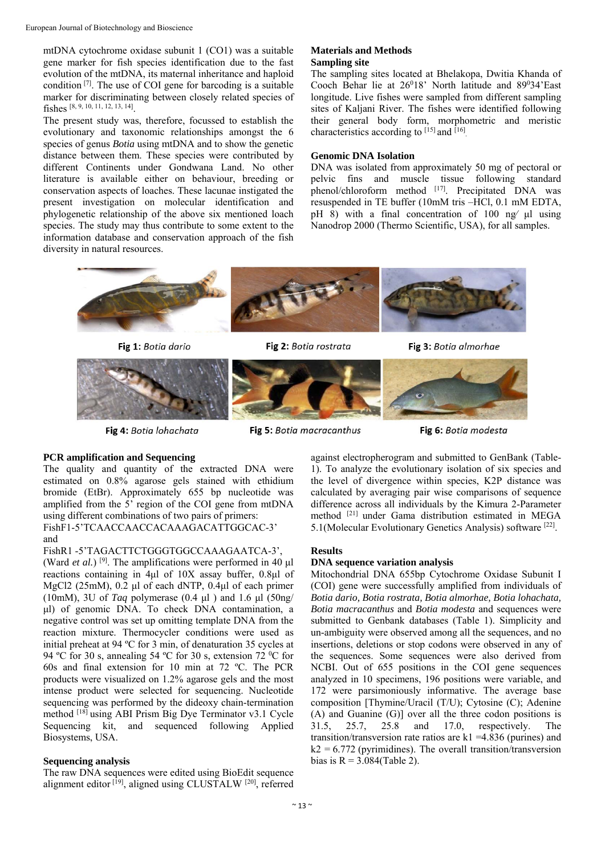mtDNA cytochrome oxidase subunit 1 (CO1) was a suitable gene marker for fish species identification due to the fast evolution of the mtDNA, its maternal inheritance and haploid condition  $\left[7\right]$ . The use of COI gene for barcoding is a suitable marker for discriminating between closely related species of fishes [8, 9, 10, 11, 12, 13, 14].

The present study was, therefore, focussed to establish the evolutionary and taxonomic relationships amongst the 6 species of genus *Botia* using mtDNA and to show the genetic distance between them. These species were contributed by different Continents under Gondwana Land. No other literature is available either on behaviour, breeding or conservation aspects of loaches. These lacunae instigated the present investigation on molecular identification and phylogenetic relationship of the above six mentioned loach species. The study may thus contribute to some extent to the information database and conservation approach of the fish diversity in natural resources.

## **Materials and Methods Sampling site**

The sampling sites located at Bhelakopa, Dwitia Khanda of Cooch Behar lie at  $26^018$ ' North latitude and  $89^034$ 'East longitude. Live fishes were sampled from different sampling sites of Kaljani River. The fishes were identified following their general body form, morphometric and meristic characteristics according to [15] and [16].

## **Genomic DNA Isolation**

DNA was isolated from approximately 50 mg of pectoral or pelvic fins and muscle tissue following standard phenol/chloroform method  $^{[17]}$ . Precipitated DNA was resuspended in TE buffer (10mM tris –HCl, 0.1 mM EDTA, pH 8) with a final concentration of 100 ng⁄ μl using Nanodrop 2000 (Thermo Scientific, USA), for all samples.



Fig 1: Botia dario

Fig 2: Botia rostrata



Fig 4: Botia lohachata

Fig 5: Botia macracanthus

Fig 6: Botia modesta

Fig 3: Botia almorhae

# **PCR amplification and Sequencing**

The quality and quantity of the extracted DNA were estimated on 0.8% agarose gels stained with ethidium bromide (EtBr). Approximately 655 bp nucleotide was amplified from the 5' region of the COI gene from mtDNA using different combinations of two pairs of primers: FishF1-5'TCAACCAACCACAAAGACATTGGCAC-3' and

FishR1 -5'TAGACTTCTGGGTGGCCAAAGAATCA-3', (Ward *et al.*) [9]. The amplifications were performed in 40 μl reactions containing in 4μl of 10X assay buffer, 0.8μl of MgCl2 (25mM), 0.2 μl of each dNTP, 0.4μl of each primer (10mM), 3U of *Taq* polymerase (0.4 μl ) and 1.6 μl (50ng/ μl) of genomic DNA. To check DNA contamination, a negative control was set up omitting template DNA from the reaction mixture. Thermocycler conditions were used as initial preheat at 94 ºC for 3 min, of denaturation 35 cycles at 94 °C for 30 s, annealing 54 °C for 30 s, extension 72 °C for 60s and final extension for 10 min at 72 ºC. The PCR products were visualized on 1.2% agarose gels and the most intense product were selected for sequencing. Nucleotide sequencing was performed by the dideoxy chain-termination method [18] using ABI Prism Big Dye Terminator v3.1 Cycle Sequencing kit, and sequenced following Applied Biosystems, USA.

# **Sequencing analysis**

The raw DNA sequences were edited using BioEdit sequence alignment editor [19], aligned using CLUSTALW [20], referred against electropherogram and submitted to GenBank (Table-1). To analyze the evolutionary isolation of six species and the level of divergence within species, K2P distance was calculated by averaging pair wise comparisons of sequence difference across all individuals by the Kimura 2-Parameter method [21] under Gama distribution estimated in MEGA 5.1(Molecular Evolutionary Genetics Analysis) software [22].

## **Results**

## **DNA sequence variation analysis**

Mitochondrial DNA 655bp Cytochrome Oxidase Subunit I (COI) gene were successfully amplified from individuals of *Botia dario, Botia rostrata, Botia almorhae, Botia lohachata, Botia macracanthus* and *Botia modesta* and sequences were submitted to Genbank databases (Table 1). Simplicity and un-ambiguity were observed among all the sequences, and no insertions, deletions or stop codons were observed in any of the sequences. Some sequences were also derived from NCBI. Out of 655 positions in the COI gene sequences analyzed in 10 specimens, 196 positions were variable, and 172 were parsimoniously informative. The average base composition [Thymine/Uracil (T/U); Cytosine (C); Adenine (A) and Guanine (G)] over all the three codon positions is 31.5, 25.7, 25.8 and 17.0, respectively. The transition/transversion rate ratios are  $k1 = 4.836$  (purines) and  $k2 = 6.772$  (pyrimidines). The overall transition/transversion bias is  $R = 3.084$ (Table 2).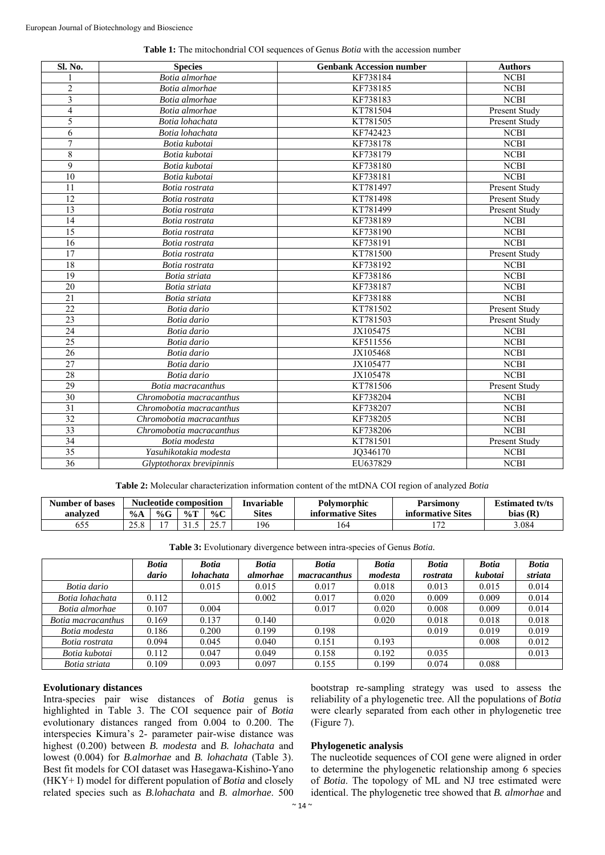|  |  |  |  |  |  |  |  |  | <b>Table 1:</b> The mitochondrial COI sequences of Genus <i>Botia</i> with the accession number |  |
|--|--|--|--|--|--|--|--|--|-------------------------------------------------------------------------------------------------|--|
|--|--|--|--|--|--|--|--|--|-------------------------------------------------------------------------------------------------|--|

| Sl. No.         | <b>Species</b>           | <b>Genbank Accession number</b> | <b>Authors</b> |
|-----------------|--------------------------|---------------------------------|----------------|
|                 | Botia almorhae           | KF738184                        | <b>NCBI</b>    |
| $\overline{2}$  | Botia almorhae           | KF738185                        | <b>NCBI</b>    |
| $\overline{3}$  | Botia almorhae           | KF738183                        | <b>NCBI</b>    |
| $\overline{4}$  | Botia almorhae           | KT781504                        | Present Study  |
| 5               | Botia lohachata          | KT781505                        | Present Study  |
| 6               | Botia lohachata          | KF742423                        | <b>NCBI</b>    |
| $\overline{7}$  | Botia kubotai            | KF738178                        | <b>NCBI</b>    |
| $\,8\,$         | Botia kubotai            | KF738179                        | <b>NCBI</b>    |
| $\overline{9}$  | Botia kubotai            | KF738180                        | <b>NCBI</b>    |
| 10              | Botia kubotai            | KF738181                        | <b>NCBI</b>    |
| 11              | Botia rostrata           | KT781497                        | Present Study  |
| 12              | Botia rostrata           | KT781498                        | Present Study  |
| 13              | Botia rostrata           | KT781499                        | Present Study  |
| 14              | Botia rostrata           | KF738189                        | <b>NCBI</b>    |
| 15              | Botia rostrata           | KF738190                        | <b>NCBI</b>    |
| 16              | Botia rostrata           | KF738191                        | <b>NCBI</b>    |
| 17              | Botia rostrata           | KT781500                        | Present Study  |
| 18              | Botia rostrata           | KF738192                        | <b>NCBI</b>    |
| $\overline{19}$ | Botia striata            | KF738186                        | <b>NCBI</b>    |
| 20              | Botia striata            | KF738187                        | <b>NCBI</b>    |
| $\overline{21}$ | Botia striata            | KF738188                        | <b>NCBI</b>    |
| $\overline{22}$ | Botia dario              | KT781502                        | Present Study  |
| $\overline{23}$ | Botia dario              | KT781503                        | Present Study  |
| 24              | Botia dario              | JX105475                        | <b>NCBI</b>    |
| $\overline{25}$ | Botia dario              | KF511556                        | <b>NCBI</b>    |
| 26              | Botia dario              | JX105468                        | <b>NCBI</b>    |
| 27              | Botia dario              | JX105477                        | <b>NCBI</b>    |
| 28              | Botia dario              | JX105478                        | <b>NCBI</b>    |
| 29              | Botia macracanthus       | KT781506                        | Present Study  |
| 30              | Chromobotia macracanthus | KF738204                        | <b>NCBI</b>    |
| 31              | Chromobotia macracanthus | KF738207                        | <b>NCBI</b>    |
| 32              | Chromobotia macracanthus | KF738205                        | <b>NCBI</b>    |
| 33              | Chromobotia macracanthus | KF738206                        | <b>NCBI</b>    |
| 34              | Botia modesta            | KT781501                        | Present Study  |
| 35              | Yasuhikotakia modesta    | JQ346170                        | <b>NCBI</b>    |
| 36              | Glyptothorax brevipinnis | EU637829                        | <b>NCBI</b>    |

**Table 2:** Molecular characterization information content of the mtDNA COI region of analyzed *Botia*

| <b>Number of bases</b> | <b>Nucleotide composition</b> |      | Invariable | Polvmorphic | Parsimonv    | <b>Estimated ty/ts</b> |                                   |            |
|------------------------|-------------------------------|------|------------|-------------|--------------|------------------------|-----------------------------------|------------|
| analyzed               | $\%A$                         | $\%$ | $\%T$      | % $C$       | <b>Sites</b> | informative Sites      | $\sim \cdot$<br>informative Sites | bias $(R)$ |
| ວວວ                    | $\cap$ $\subset$ $\subset$    |      |            | . ب         | 196          | 164                    | $1 - \alpha$                      | 3.084      |

| Table 3: Evolutionary divergence between intra-species of Genus Botia. |  |  |  |  |  |  |
|------------------------------------------------------------------------|--|--|--|--|--|--|
|------------------------------------------------------------------------|--|--|--|--|--|--|

|                    | <b>Botia</b> | <b>Botia</b> | <b>Botia</b> | <b>Botia</b> | <b>Botia</b> | <b>Botia</b> | <b>Botia</b> | <b>Botia</b> |
|--------------------|--------------|--------------|--------------|--------------|--------------|--------------|--------------|--------------|
|                    | dario        | lohachata    | almorhae     | macracanthus | modesta      | rostrata     | kubotai      | striata      |
| Botia dario        |              | 0.015        | 0.015        | 0.017        | 0.018        | 0.013        | 0.015        | 0.014        |
| Botia lohachata    | 0.112        |              | 0.002        | 0.017        | 0.020        | 0.009        | 0.009        | 0.014        |
| Botia almorhae     | 0.107        | 0.004        |              | 0.017        | 0.020        | 0.008        | 0.009        | 0.014        |
| Botia macracanthus | 0.169        | 0.137        | 0.140        |              | 0.020        | 0.018        | 0.018        | 0.018        |
| Botia modesta      | 0.186        | 0.200        | 0.199        | 0.198        |              | 0.019        | 0.019        | 0.019        |
| Botia rostrata     | 0.094        | 0.045        | 0.040        | 0.151        | 0.193        |              | 0.008        | 0.012        |
| Botia kubotai      | 0.112        | 0.047        | 0.049        | 0.158        | 0.192        | 0.035        |              | 0.013        |
| Botia striata      | 0.109        | 0.093        | 0.097        | 0.155        | 0.199        | 0.074        | 0.088        |              |

## **Evolutionary distances**

Intra-species pair wise distances of *Botia* genus is highlighted in Table 3. The COI sequence pair of *Botia* evolutionary distances ranged from 0.004 to 0.200. The interspecies Kimura's 2- parameter pair-wise distance was highest (0.200) between *B. modesta* and *B. lohachata* and lowest (0.004) for *B.almorhae* and *B. lohachata* (Table 3). Best fit models for COI dataset was Hasegawa-Kishino-Yano (HKY+ I) model for different population of *Botia* and closely related species such as *B.lohachata* and *B. almorhae*. 500

bootstrap re-sampling strategy was used to assess the reliability of a phylogenetic tree. All the populations of *Botia* were clearly separated from each other in phylogenetic tree (Figure 7).

#### **Phylogenetic analysis**

The nucleotide sequences of COI gene were aligned in order to determine the phylogenetic relationship among 6 species of *Botia*. The topology of ML and NJ tree estimated were identical. The phylogenetic tree showed that *B. almorhae* and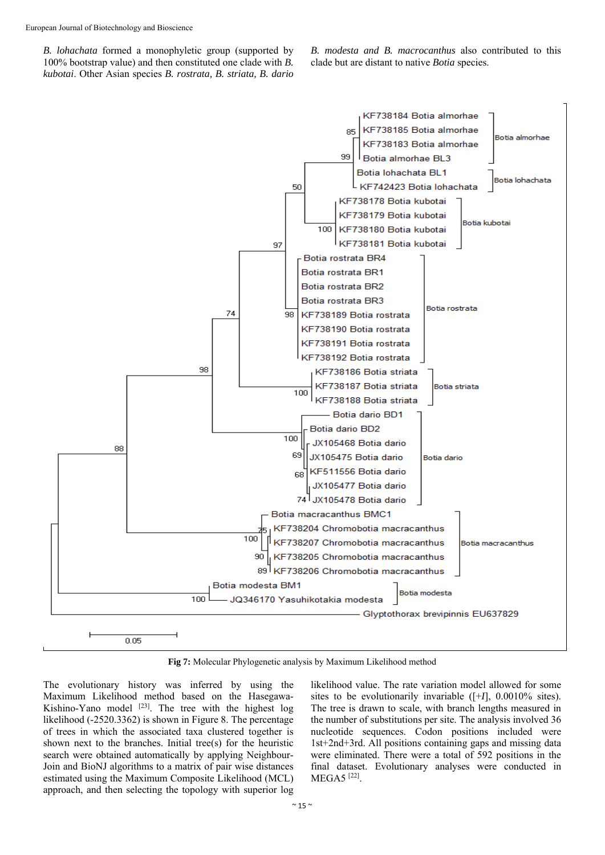*B. lohachata* formed a monophyletic group (supported by 100% bootstrap value) and then constituted one clade with *B. kubotai*. Other Asian species *B. rostrata, B. striata, B. dario*  *B. modesta and B. macrocanthus* also contributed to this clade but are distant to native *Botia* species.



**Fig 7:** Molecular Phylogenetic analysis by Maximum Likelihood method

The evolutionary history was inferred by using the Maximum Likelihood method based on the Hasegawa-Kishino-Yano model  $[23]$ . The tree with the highest log likelihood (-2520.3362) is shown in Figure 8. The percentage of trees in which the associated taxa clustered together is shown next to the branches. Initial tree(s) for the heuristic search were obtained automatically by applying Neighbour-Join and BioNJ algorithms to a matrix of pair wise distances estimated using the Maximum Composite Likelihood (MCL) approach, and then selecting the topology with superior log likelihood value. The rate variation model allowed for some sites to be evolutionarily invariable ([+*I*], 0.0010% sites). The tree is drawn to scale, with branch lengths measured in the number of substitutions per site. The analysis involved 36 nucleotide sequences. Codon positions included were 1st+2nd+3rd. All positions containing gaps and missing data were eliminated. There were a total of 592 positions in the final dataset. Evolutionary analyses were conducted in MEGA5 [22].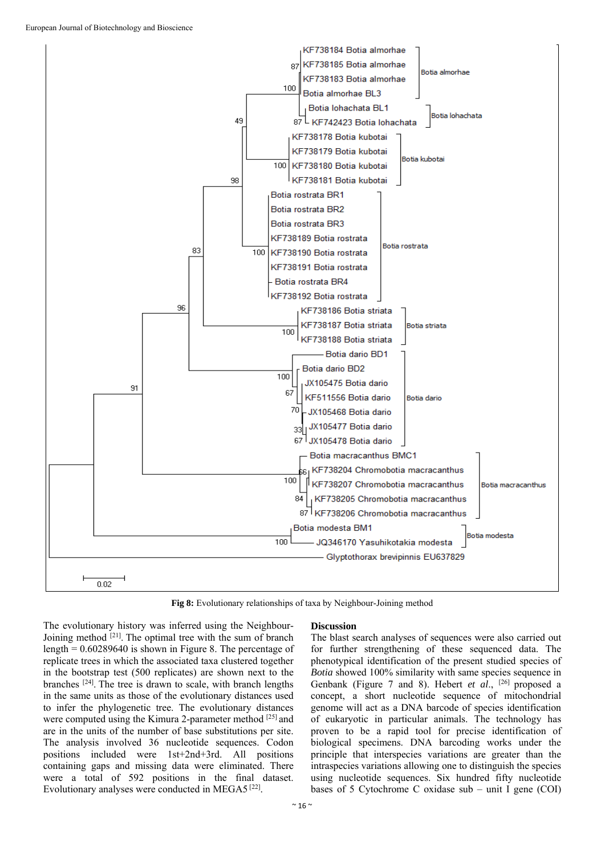

**Fig 8:** Evolutionary relationships of taxa by Neighbour-Joining method

The evolutionary history was inferred using the Neighbour-Joining method [21]. The optimal tree with the sum of branch length = 0.60289640 is shown in Figure 8. The percentage of replicate trees in which the associated taxa clustered together in the bootstrap test (500 replicates) are shown next to the branches [24]. The tree is drawn to scale, with branch lengths in the same units as those of the evolutionary distances used to infer the phylogenetic tree. The evolutionary distances were computed using the Kimura 2-parameter method [25] and are in the units of the number of base substitutions per site. The analysis involved 36 nucleotide sequences. Codon positions included were 1st+2nd+3rd. All positions containing gaps and missing data were eliminated. There were a total of 592 positions in the final dataset. Evolutionary analyses were conducted in MEGA5 [22].

#### **Discussion**

The blast search analyses of sequences were also carried out for further strengthening of these sequenced data. The phenotypical identification of the present studied species of *Botia* showed 100% similarity with same species sequence in Genbank (Figure 7 and 8). Hebert *et al.*, <sup>[26]</sup> proposed a concept, a short nucleotide sequence of mitochondrial genome will act as a DNA barcode of species identification of eukaryotic in particular animals. The technology has proven to be a rapid tool for precise identification of biological specimens. DNA barcoding works under the principle that interspecies variations are greater than the intraspecies variations allowing one to distinguish the species using nucleotide sequences. Six hundred fifty nucleotide bases of 5 Cytochrome C oxidase sub – unit I gene (COI)